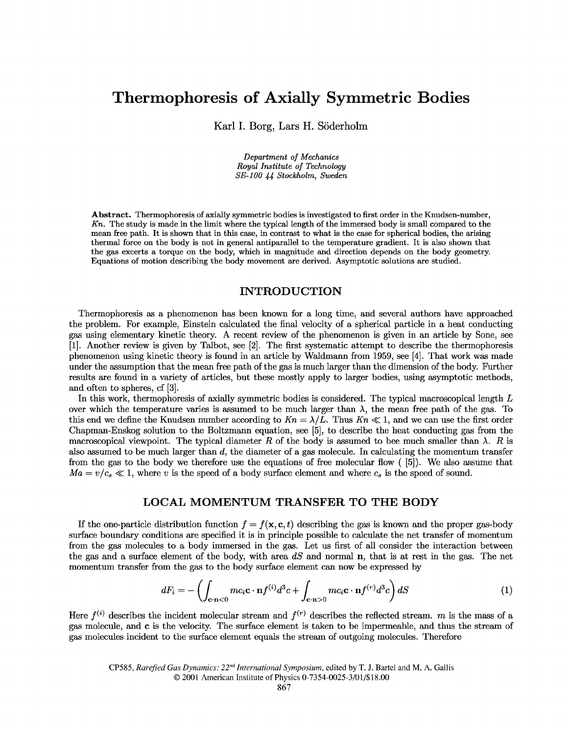# **Thermophoresis of Axially Symmetric Bodies** Thermophoresis of Axially Symmetric Bodies

Karl I. Borg, Lars H. Soderholm Karl I. Borg, Lars H. Söderholm

*Department of Mechanics Royal Institute of Technology Department of MechanicsRoyal Institute of Technology SE-100 44 Stockholm, Sweden SE-100 44 Stockholm, Sweden*

**Abstract.** Thermophoresis of axially symmetric bodies is investigated to first order in the Knudsen-mimber, Abstract. Thermophoresis of axially symmetric bodies is investigated to first order in the Knudsen-number,  $Kn$ . The study is made in the limit where the typical length of the immersed body is small compared to the mean free path. It is shown that in this case, in contrast to what is the case for spherical bodies, the arising thermal force on the body is not in general antiparallel to the temperature gradient. It is also shown that thermal force on the body is not in general antiparallel to the temperature gradient. It is also shown that the gas excerts a torque on the body, which in magnitude and direction depends on the body geometry. the gas excerts a torque on the body, which in magnitude and direction depends on the body geometry. Equations of motion describing the body movement are derived. Asymptotic solutions are studied. Equations of motion describing the body movement are derived. Asymptotic solutions are studied.

#### **INTRODUCTION INTRODUCTION**

Thermophoresis as a phenomenon has been known for a long time, and several authors have approached Thermophoresis as a phenomenon has been known for a long time, and several authors have approached the problem. For example, Einstein calculated the final velocity of a spherical particle in a heat conducting<br>gas using elementary kinetic theory. A recent review of the phenomenon is given in an article by Sone, see<br>[1]. gas using elementary kinetic theory. A recent review of the phenomenon is given in an article by Sone, see [1]. Another review is given by Talbot, see [2]. The first systematic attempt to describe the thermophoresis phenomenon using kinetic theory is found in an article by Waldmann from 1959, see [4]. That work was made under the assumption that the mean free path of the gas is much larger than the dimension of the body. Further under the assumption that the mean free path of the gas is much larger than the dimension of the body. Further results are found in a variety of articles, but these mostly apply to larger bodies, using asymptotic methods,<br>and often to spheres, cf [3]. and often to spheres, cf [3].

In this work, thermophoresis of axially symmetric bodies is considered. The typical macroscopical length  $L$ over which the temperature varies is assumed to be much larger than  $\lambda$ , the mean free path of the gas. To this end we define the Knudsen number according to  $Kn = \lambda/L$ . Thus  $Kn \ll 1$ , and we can use the first order Chapman-Enskog solution to the Boltzmann equation, see [5], to describe the heat conducting gas from the Chapman-Enskog solution to the Boltzmann equation, see [5], to describe the heat conducting gas from the macroscopical viewpoint. The typical diameter R of the body is assumed to bee much smaller than  $\lambda$ . R is<br>also assumed to be much larger than d, the diameter of a gas molecule. In calculating the momentum transfer<br>from t also assumed to be much larger than d, the diameter of a gas molecule. In calculating the momentum transfer from the gas to the body we therefore use the equations of free molecular flow ( [5]). We also assume that  $Ma = v/c_s \ll 1$ , where v is the speed of a body surface element and where  $c_s$  is the speed of sound.

#### **LOCAL** MOMENTUM **TRANSFER TO THE BODY LOCAL MOMENTUM TRANSFER TO THE BODY**

If the one-particle distribution function  $f = f(x, c, t)$  describing the gas is known and the proper gas-body surface boundary conditions are specified it is in principle possible to calculate the net transfer of momentum from the gas molecules to a body immersed in the gas. Let us first of all consider the interaction between the gas and a surface element of the body, with area *dS* and normal n, that is at rest in the gas. The net momentum transfer from the gas to the body surface element can now be expressed by momentum transfer from the gas to the body surface element can now be expressed byIf the one-particle distribution function  $f = f(\mathbf{x}, \mathbf{c}, t)$  describing the gas is known and the proper gas-body<br>surface boundary conditions are specified it is in principle possible to calculate the net transfer of momen

$$
dF_i = -\left(\int_{\mathbf{c}\cdot\mathbf{n}<0} mc_i \mathbf{c}\cdot\mathbf{n} f^{(i)} d^3 c + \int_{\mathbf{c}\cdot\mathbf{n}>0} mc_i \mathbf{c}\cdot\mathbf{n} f^{(r)} d^3 c\right) dS
$$
 (1)

Here  $f^{(i)}$  describes the incident molecular stream and  $f^{(r)}$  describes the reflected stream. *m* is the mass of a gas molecule, and **c** is the velocity. The surface element is taken to be impermeable, and thus the str gas molecule, and c is the velocity. The surface element is taken to be impermeable, and thus the stream of gas molecules incident to the surface element equals the stream of outgoing molecules. Therefore<br>CP585, Rarefied Gas Dynamics:  $22^{nd}$  International Symposium, edited by T. J. Bartel and M. A. Gallis

CP585, *Rarefied Gas Dynamics: 22nd International Symposium,* edited by T. J. Bartel and M. A. Gallis *International Symposium,* edited by T. J. Bartel and M. A. Gallis

<sup>© 2001</sup> American Institute of Physics 0-7354-0025-3/01/\$18.00 © 2001 American Institute of Physics 0-7354-0025-3/01/\$18.00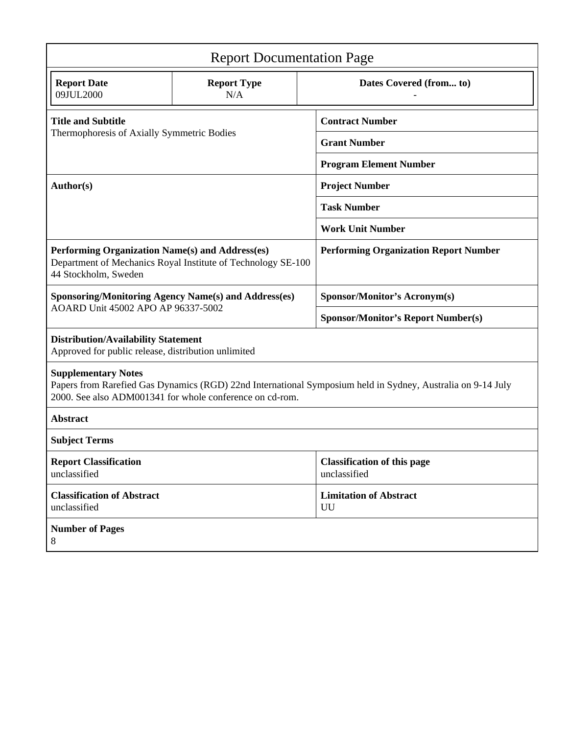| <b>Report Documentation Page</b>                                                                                                                                                                      |                           |                                                    |  |  |
|-------------------------------------------------------------------------------------------------------------------------------------------------------------------------------------------------------|---------------------------|----------------------------------------------------|--|--|
| <b>Report Date</b><br>09JUL2000                                                                                                                                                                       | <b>Report Type</b><br>N/A | Dates Covered (from to)                            |  |  |
| <b>Title and Subtitle</b><br>Thermophoresis of Axially Symmetric Bodies                                                                                                                               |                           | <b>Contract Number</b>                             |  |  |
|                                                                                                                                                                                                       |                           | <b>Grant Number</b>                                |  |  |
|                                                                                                                                                                                                       |                           | <b>Program Element Number</b>                      |  |  |
| Author(s)                                                                                                                                                                                             |                           | <b>Project Number</b>                              |  |  |
|                                                                                                                                                                                                       |                           | <b>Task Number</b>                                 |  |  |
|                                                                                                                                                                                                       |                           | <b>Work Unit Number</b>                            |  |  |
| Performing Organization Name(s) and Address(es)<br>Department of Mechanics Royal Institute of Technology SE-100<br>44 Stockholm, Sweden                                                               |                           | <b>Performing Organization Report Number</b>       |  |  |
| <b>Sponsoring/Monitoring Agency Name(s) and Address(es)</b><br>AOARD Unit 45002 APO AP 96337-5002                                                                                                     |                           | <b>Sponsor/Monitor's Acronym(s)</b>                |  |  |
|                                                                                                                                                                                                       |                           | <b>Sponsor/Monitor's Report Number(s)</b>          |  |  |
| <b>Distribution/Availability Statement</b><br>Approved for public release, distribution unlimited                                                                                                     |                           |                                                    |  |  |
| <b>Supplementary Notes</b><br>Papers from Rarefied Gas Dynamics (RGD) 22nd International Symposium held in Sydney, Australia on 9-14 July<br>2000. See also ADM001341 for whole conference on cd-rom. |                           |                                                    |  |  |
| <b>Abstract</b>                                                                                                                                                                                       |                           |                                                    |  |  |
| <b>Subject Terms</b>                                                                                                                                                                                  |                           |                                                    |  |  |
| <b>Report Classification</b><br>unclassified                                                                                                                                                          |                           | <b>Classification of this page</b><br>unclassified |  |  |
| <b>Classification of Abstract</b><br>unclassified                                                                                                                                                     |                           | <b>Limitation of Abstract</b><br>UU                |  |  |
| <b>Number of Pages</b><br>8                                                                                                                                                                           |                           |                                                    |  |  |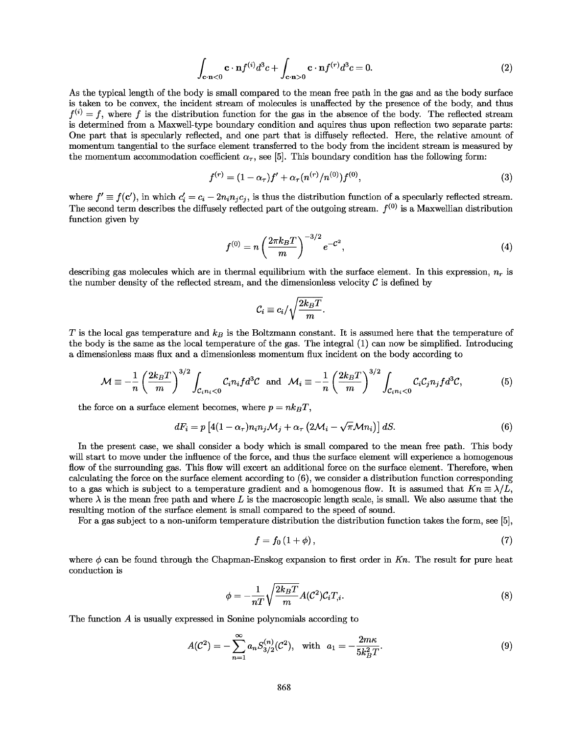$$
\int_{\mathbf{c}\cdot\mathbf{n}\leq 0} \mathbf{c}\cdot\mathbf{n} f^{(i)} d^3 c + \int_{\mathbf{c}\cdot\mathbf{n}\geq 0} \mathbf{c}\cdot\mathbf{n} f^{(r)} d^3 c = 0.
$$
 (2)

As the typical length of the body is small compared to the mean free path in the gas and as the body surface As the typical length of the body is small compared to the mean free path in the gas and as the body surface is taken to be convex, the incident stream of molecules is unaffected by the presence of the body, and thus is taken to be convex, the incident stream of molecules is unaffected by the presence of the body, and thus  $f^{(i)} = f$ , where f is the distribution function for the gas in the absence of the body. The reflected stream  $f^{(i)} = f$ , where f is the distribution function for the gas in the absence of the body. The reflected stream is determined from a Maxwell-type boundary condition and aquires thus upon reflection two separate parts: is determined from a Maxwell-type boundary condition and aquires thus upon reflection two separate parts: One part that is specularly reflected, and one part that is diffusely reflected. Here, the relative amount of<br>momentum tangential to the surface element transferred to the body from the incident stream is measured by momentum tangential to the surface element transferred to the body from the incident stream is measured by the momentum accommodation coefficient  $\alpha_{\tau}$ , see [5]. This boundary condition has the following form:<br> $f^{(r)} = (1 - \alpha_{\tau}) f' + \alpha_{\tau} (n^{(r)}/n^{(0)}) f^{(0)},$ 

$$
f^{(r)} = (1 - \alpha_r) f' + \alpha_r (n^{(r)}/n^{(0)}) f^{(0)}, \tag{3}
$$

where  $f' \equiv f(c')$ , in which  $c'_i = c_i - 2n_i n_j c_j$ , is thus the distribution function of a specularly reflected stream. where  $f' \equiv f(c')$ , in which  $c'_i = c_i - 2n_i n_j c_j$ , is thus the distribution function of a specularly reflected stream.<br>The second term describes the diffusely reflected part of the outgoing stream.  $f^{(0)}$  is a Maxwellian distr function given by function given by<br>  $f^{(0)}=n\,\Big(\frac{2}{\varepsilon}\,$ 

$$
f^{(0)} = n \left(\frac{2\pi k_B T}{m}\right)^{-3/2} e^{-\mathcal{C}^2},\tag{4}
$$

describing gas molecules which are in thermal equilibrium with the surface element. In this expression,  $n_r$  is the number density of the reflected stream, and the dimensionless velocity  $C$  is defined by

$$
\mathcal{C}_i \equiv c_i/\sqrt{\frac{2k_BT}{m}}
$$

 $T$  is the local gas temperature and  $k_B$  is the Boltzmann constant. It is assumed here that the temperature of the body is the same as the local temperature of the gas. The integral  $(1)$  can now be simplified. Introduci the body is the same as the local temperature of the gas. The integral (1) can now be simplified. Introducing a dimensionless mass flux and a dimensionless momentum flux incident on the body according to a dimensionless mass flux and a dimensionless momentum flux incident on the body according to

$$
\mathcal{M} \equiv -\frac{1}{n} \left( \frac{2k_B T}{m} \right)^{3/2} \int_{\mathcal{C}_{i} n_i < 0} \mathcal{C}_{i} n_i f d^3 \mathcal{C} \quad \text{and} \quad \mathcal{M}_i \equiv -\frac{1}{n} \left( \frac{2k_B T}{m} \right)^{3/2} \int_{\mathcal{C}_{i} n_i < 0} \mathcal{C}_{i} \mathcal{C}_{j} n_j f d^3 \mathcal{C},\tag{5}
$$

the force on a surface element becomes, where  $p = n k_B T$ ,

$$
dF_i = p \left[ 4(1 - \alpha_\tau) n_i n_j \mathcal{M}_j + \alpha_\tau \left( 2\mathcal{M}_i - \sqrt{\pi} \mathcal{M} n_i \right) \right] dS. \tag{6}
$$

In the present case, we shall consider a body which is small compared to the mean free path. This body<br>will start to move under the influence of the force, and thus the surface element will experience a homogenous will start to move under the influence of the force, and thus the surface element will experience a homogenous flow of the surrounding gas. This flow will excert an additional force on the surface element. Therefore, when calculating the force on the surface element according to (6), we consider a distribution function corresponding to a gas which is subject to a temperature gradient and a homogenous flow. It is assumed that  $Kn \equiv \lambda/L$ , where  $\lambda$  is the mean free path and where L is the macroscopic length scale, is small. We also assume that the resulting motion of the surface element is small compared to the speed of sound. resulting motion of the surface element is small compared to the speed of sound.<br>For a gas subject to a non-uniform temperature distribution the distribution function takes the form, see [5], flow of the surrounding gas. This flow will excert an additional force on the surface element. Therefore, when calculating the force on the surface element according to (6), we consider a distribution function correspondi

$$
f = f_0 \left( 1 + \phi \right), \tag{7}
$$

where  $\phi$  can be found through the Chapman-Enskog expansion to first order in Kn. The result for pure heat conduction is conduction is

$$
\phi = -\frac{1}{nT} \sqrt{\frac{2k_B T}{m}} A(\mathcal{C}^2) \mathcal{C}_i T_{,i}.
$$
\n(8)

The function *A* is usually expressed in Sonine polynomials according to The function *A* is usually expressed in Sonine polynomials according to

$$
A(\mathcal{C}^2) = -\sum_{n=1}^{\infty} a_n S_{3/2}^{(n)}(\mathcal{C}^2), \quad \text{with} \quad a_1 = -\frac{2m\kappa}{5k_B^2 T}.
$$
 (9)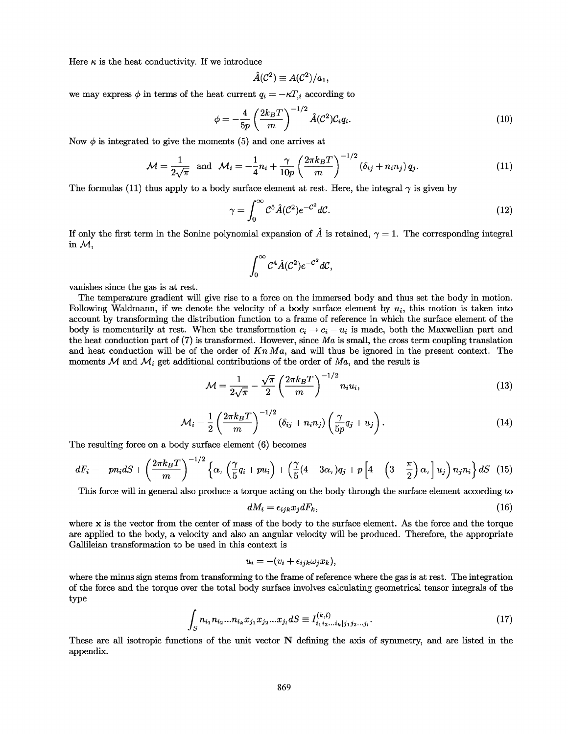Here  $\kappa$  is the heat conductivity. If we introduce

$$
\hat{A}(\mathcal{C}^2) \equiv A(\mathcal{C}^2)/a_1,
$$

we may express  $\phi$  in terms of the heat current  $q_i = -\kappa T_{i}$  according to

$$
\phi = -\frac{4}{5p} \left( \frac{2k_B T}{m} \right)^{-1/2} \hat{A} (\mathcal{C}^2) \mathcal{C}_i q_i. \tag{10}
$$

Now  $\phi$  is integrated to give the moments (5) and one arrives at

$$
\mathcal{M} = \frac{1}{2\sqrt{\pi}} \text{ and } \mathcal{M}_i = -\frac{1}{4}n_i + \frac{\gamma}{10p} \left(\frac{2\pi k_B T}{m}\right)^{-1/2} \left(\delta_{ij} + n_i n_j\right) q_j. \tag{11}
$$

The formulas (11) thus apply to a body surface element at rest. Here, the integral  $\gamma$  is given by

$$
\gamma = \int_0^\infty C^5 \hat{A} (C^2) e^{-C^2} dC.
$$
\n(12)

If only the first term in the Sonine polynomial expansion of  $\hat{A}$  is retained,  $\gamma = 1$ . The corresponding integral in  $\mathcal{M}$ ,  $\gamma = \int_0^{\infty} C^5 \hat{A}(C^2) e^{-C^2} dC.$  (12)<br>If only the first term in the Sonine polynomial expansion of  $\hat{A}$  is retained,  $\gamma = 1$ . The corresponding integral<br>in *M*,

$$
\int_0^\infty \mathcal{C}^4 \hat{A}(\mathcal{C}^2) e^{-\mathcal{C}^2} d\mathcal{C},
$$

vanishes since the gas is at rest. vanishes since the gas is at rest.

The temperature gradient will give rise to a force on the immersed body and thus set the body in motion. The temperature gradient will give rise to a force on the immersed body and thus set the body in motion. Following Waldmann, if we denote the velocity of a body surface element by  $u_i$ , this motion is taken into account by transforming the distribution function to a frame of reference in which the surface element of the account by transforming the distribution function to a frame of reference in which the surface element of the body is momentarily at rest. When the transformation  $c_i \rightarrow c_i - u_i$  is made, both the Maxwellian part and the heat conduction part of (7) is transformed. However, since *Ma* is small, the cross term coupling translation the heat conduction part of (7) is transformed. However, since  $Ma$  is small, the cross term coupling translation and heat conduction will be of the order of  $Kn Ma$ , and will thus be ignored in the present context. The moments  $M$  and  $M_i$  get additional contributions of the order of  $Ma$ , and the result is

$$
\mathcal{M} = \frac{1}{2\sqrt{\pi}} - \frac{\sqrt{\pi}}{2} \left(\frac{2\pi k_B T}{m}\right)^{-1/2} n_i u_i,
$$
\n(13)

$$
\mathcal{M}_i = \frac{1}{2} \left( \frac{2\pi k_B T}{m} \right)^{-1/2} \left( \delta_{ij} + n_i n_j \right) \left( \frac{\gamma}{5p} q_j + u_j \right). \tag{14}
$$

The resulting force on a body surface element (6) becomes The resulting force on a body surface element (6) becomes

$$
dF_i = -pn_i dS + \left(\frac{2\pi k_B T}{m}\right)^{-1/2} \left\{\alpha_\tau \left(\frac{\gamma}{5}q_i + pu_i\right) + \left(\frac{\gamma}{5}(4 - 3\alpha_\tau)q_j + p\left[4 - \left(3 - \frac{\pi}{2}\right)\alpha_\tau\right]u_j\right) n_j n_i\right\} dS \tag{15}
$$

This force will in general also produce a torque acting on the body through the surface element according to This force will in general also produce a torque acting on the body through the surface element according to

$$
dM_i = \epsilon_{ijk} x_j dF_k, \tag{16}
$$

 $dM_i = \epsilon_{ijk} x_j dF_k,$  (16)<br>where **x** is the vector from the center of mass of the body to the surface element. As the force and the torque are applied to the body, a velocity and also an angular velocity will be produced. Therefore, the appropriate are applied to the body, a velocity and also an angular velocity will be produced. Therefore, the appropriate Gallileian transformation to be used in this context is Gallileian transformation to be used in this context is

$$
u_i = -(v_i + \epsilon_{ijk}\omega_j x_k),
$$

where the minus sign stems from transforming to the frame of reference where the gas is at rest. The integration of the force and the torque over the total body surface involves calculating geometrical tensor integrals of the type type

$$
\int_{S} n_{i_1} n_{i_2} \dots n_{i_k} x_{j_1} x_{j_2} \dots x_{j_l} dS \equiv I_{i_1 i_2 \dots i_k | j_1 j_2 \dots j_l}^{(k,l)}.
$$
\n(17)

These are all isotropic functions of the unit vector N defining the axis of symmetry, and are listed in the These are all isotropic functions of the unit vector N defining the axis of symmetry, and are listed in the appendix. appendix.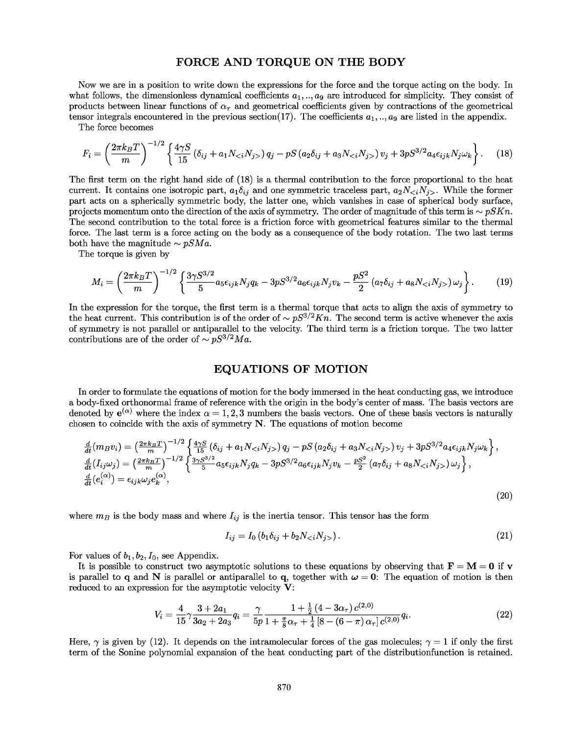## **FORCE AND TORQUE ON THE BODY** FORCE AND TORQUE ON THE BODY

Now we are in a position to write down the expressions for the force and the torque acting on the body. In Now we are in a position to write down the expressions for the force and the torque acting on the body. In what follows, the dimensionless dynamical coefficients  $a_1, ..., a_9$  are introduced for simplicity. They consist of products between linear functions of  $\alpha_{\tau}$  and geometrical coefficients given by contractions of the geometrical tensor integrals encountered in the previous section(17). The coefficients  $a_1, ..., a_9$  are listed in the a tensor integrals encountered in the previous section(17). The coefficients  $a_1, \ldots, a_9$  are listed in the appendix.

The force becomes

The force becomes  
\n
$$
F_i = \left(\frac{2\pi k_B T}{m}\right)^{-1/2} \left\{\frac{4\gamma S}{15} \left(\delta_{ij} + a_1 N_{}\right) q_j - pS \left(a_2 \delta_{ij} + a_3 N_{}\right) v_j + 3pS^{3/2} a_4 \epsilon_{ijk} N_j \omega_k\right\}.
$$
\n(18)

The first term on the right hand side of (18) is a thermal contribution to the force proportional to the heat The first term on the right hand side of (18) is a thermal contribution to the force proportional to the heat current. It contains one isotropic part,  $a_1\delta_{ij}$  and one symmetric traceless part,  $a_2N_{\leq i}N_{j>}$ . While the former part acts on a spherically symmetric body, the latter one, which vanishes in case of spherical body surface, part acts on a spherically symmetric body, the latter one, which vanishes in case of spherical body surface, projects momentum onto the direction of the axis of symmetry. The order of magnitude of this term is  $\sim pSKn$ . The second contribution to the total force is a friction force with geometrical features similar to the thermal force. The last term is a force acting on the body as a consequence of the body rotation. The two last terms force. The last term is a force acting on the body as a consequence of the body rotation. The two last terms both have the magnitude  $\sim pSMa$ .

The torque is given by The torque is given by

$$
M_i = \left(\frac{2\pi k_B T}{m}\right)^{-1/2} \left\{ \frac{3\gamma S^{3/2}}{5} a_5 \epsilon_{ijk} N_j q_k - 3p S^{3/2} a_6 \epsilon_{ijk} N_j v_k - \frac{p S^2}{2} \left( a_7 \delta_{ij} + a_8 N_{}\right) \omega_j \right\}.
$$
 (19)  
In the expression for the torque, the first term is a thermal torque that acts to align the axis of symmetry to

the heat current. This contribution is of the order of  $\sim pS^{3/2}Kn$ . The second term is active whenever the axis<br>of symmetry is not parallel or antiparallel to the velocity. The third term is a friction torque. The two la of symmetry is not parallel or antiparallel to the velocity. The third term is a friction torque. The two latter contributions are of the order of  $\sim pS^{3/2}Ma$ .

#### **EQUATIONS OF MOTION** EQUATIONS OF MOTION

In order to formulate the equations of motion for the body immersed in the heat conducting gas, we introduce In order to formulate the equations of motion for the body immersed in the heat conducting gas, we introduce a body-fixed orthonormal frame of reference with the origin in the body's center of mass. The basis vectors are a body-fixed orthonormal frame of reference with the origin in the body's center of mass. The basis vectors are<br>denoted by  $e^{(\alpha)}$  where the index  $\alpha = 1, 2, 3$  numbers the basis vectors. One of these basis vectors is nat chosen to coincide with the axis of symmetry N. The equations of motion become denoted by  $e^{(\alpha)}$  where the index  $\alpha = 1, 2, 3$  numbers the basis vectors. One of these basis vectors is naturally<br>chosen to coincide with the axis of symmetry **N**. The equations of motion become<br> $\frac{d}{dt}(m_B v_i) = \left(\frac{2\pi k_B$ 

$$
\frac{d}{dt}(m_B v_i) = \left(\frac{2\pi k_B T}{m}\right)^{-1/2} \left\{ \frac{4\gamma S}{15} \left(\delta_{ij} + a_1 N_{}\right) q_j - pS \left(a_2 \delta_{ij} + a_3 N_{}\right) v_j + 3p S^{3/2} a_4 \epsilon_{ijk} N_j \omega_k \right\},
$$
\n
$$
\frac{d}{dt}(I_{ij}\omega_j) = \left(\frac{2\pi k_B T}{m}\right)^{-1/2} \left\{ \frac{3\gamma S^{3/2}}{5} a_5 \epsilon_{ijk} N_j q_k - 3p S^{3/2} a_6 \epsilon_{ijk} N_j v_k - \frac{p S^2}{2} \left(a_7 \delta_{ij} + a_8 N_{}\right) \omega_j \right\},
$$
\n
$$
\frac{d}{dt}(e_i^{(\alpha)}) = \epsilon_{ijk}\omega_j e_k^{(\alpha)},
$$
\n(20)

where  $m_B$  is the body mass and where  $I_{ij}$  is the inertia tensor. This tensor has the form

$$
I_{ij} = I_0 \left( b_1 \delta_{ij} + b_2 N_{\lt i} N_{j>} \right). \tag{21}
$$

For values of  $b_1, b_2, I_0$ , see Appendix.

It is possible to construct two asymptotic solutions to these equations by observing that  $\mathbf{F} = \mathbf{M} = \mathbf{0}$  if  $\mathbf{v}$ is parallel to q and N is parallel or antiparallel to q, together with  $\omega = 0$ . The equation of motion is then reduced to an expression for the asymptotic velocity V: reduced to an expression for the asymptotic velocity V:

$$
V_i = \frac{4}{15} \gamma \frac{3 + 2a_1}{3a_2 + 2a_3} q_i = \frac{\gamma}{5p} \frac{1 + \frac{1}{2} (4 - 3\alpha_\tau) c^{(2,0)}}{1 + \frac{\pi}{8} \alpha_\tau + \frac{1}{4} [8 - (6 - \pi) \alpha_\tau] c^{(2,0)}} q_i.
$$
 (22)

Here,  $\gamma$  is given by (12). It depends on the intramolecular forces of the gas molecules;  $\gamma = 1$  if only the first term of the Sonine polynomial expansion of the heat conducting part of the distributionfunction is retained. term of the Sonine polynomial expansion of the heat conducting part of the distributionfunction is retained.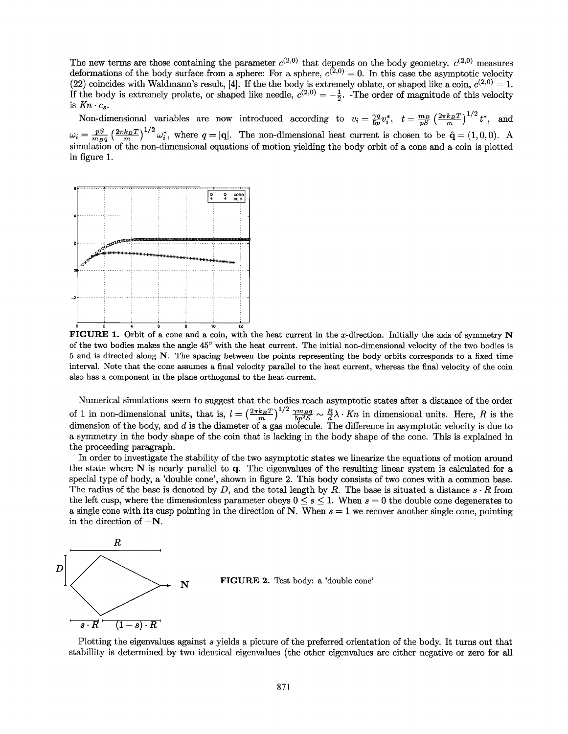The new terms are those containing the parameter  $c^{(2,0)}$  that depends on the body geometry.  $c^{(2,0)}$  measures deformations of the body surface from a sphere: For a sphere,  $c^{(2,0)} = 0$ . In this case the asymptotic velocity (22) coincides with Waldmann's result, [4]. If the the body is extremely oblate, or shaped like a coin,  $c^{(2,0)} = 1$ . (22) coincides with Waldmann's result, [4]. If the the body is extremely oblate, or shaped like a coin,  $c^{(2,0)} = 1$ .<br>If the body is extremely prolate, or shaped like needle,  $c^{(2,0)} = -\frac{1}{2}$ . The order of magnitude of is  $Kn \cdot c_s$ . If the body is extremely prolate, or shaped like needle,  $c^{(2,0)} = -\frac{1}{2}$ . The order of magnitude of this velocity

Non-dimensional variables are now introduced according to  $v_i = \frac{\gamma q}{5p} v_i^*$ ,  $t = \frac{m_B}{pS} \left(\frac{2\pi k_B T}{m}\right)^{1/2} t^*$ , and  $\omega_i = \frac{pS}{mgq} \left(\frac{2\pi k_BT}{m}\right)^{1/2} \omega_i^*$ , where  $q = |\mathbf{q}|$ . The non-dimensional heat current is chosen to be  $\hat{\mathbf{q}} = (1,0,0)$ . A Non-dimensional variables are now introduced according to  $v_i = \frac{\gamma q}{5p} v_i^*$ ,  $t = \frac{mg}{pS} \left(\frac{2\pi k_B T}{m}\right)^{1/2} t^*$ , and  $\omega_i = \frac{pS}{mgq} \left(\frac{2\pi k_B T}{m}\right)^{1/2} \omega_i^*$ , where  $q = |\mathbf{q}|$ . The non-dimensional heat current is chos in figure 1. in figure 1. The non-dimensional heat current is chosen to be  $\hat{\mathbf{q}} = (1,0,0)$ . A simulation of the non-dimensional equations of motion yielding the body orbit of a cone and a coin is plotted



FIGURE 1. Orbit of a cone and a coin, with the heat current in the x-direction. Initially the axis of symmetry N of the two bodies makes the angle 45° with the heat current. The initial non-dimensional velocity of the two bodies is 5 and is directed along N. The spacing between the points representing the body orbits corresponds to a fixed time interval. Note that the cone assumes a final velocity parallel to the heat current, whereas the final velocity of the coin also has a component in the plane orthogonal to the heat current. also has a component in the plane orthogonal to the heat current.

Numerical simulations seem to suggest that the bodies reach asymptotic states after a distance of the order Numerical simulations seem to suggest that the bodies reach asymptotic states after a distance of the order of 1 in non-dimensional units, that is,  $l = \left(\frac{2\pi k_B T}{m}\right)^{1/2} \frac{\gamma m_B q}{5p^2 S} \sim \frac{R}{d} \lambda \cdot Kn$  in dimensional units. Here, R is the dimension of the body, and *d* is the diameter of a gas molecule. The difference in asymptotic velocity is due to a symmetry in the body shape of the coin that is lacking in the body shape of the cone. This is explained in a symmetry in the body shape of the coin that is lacking in the body shape of the cone. This is explained in the proceeding paragraph. the proceeding paragraph. of 1 in non-dimensional units, that is,  $l = \left(\frac{2\pi k_B T}{m}\right)^{1/2} \frac{\gamma m_B q}{5p^2 S} \sim \frac{R}{d} \lambda \cdot Kn$  in dimensional units. Here, R is the dimension of the body, and d is the diameter of a gas molecule. The difference in asympto

In order to investigate the stability of the two asymptotic states we linearize the equations of motion around In order to investigate the stability of the two asymptotic states we linearize the equations of motion around the state where N is nearly parallel to q. The eigenvalues of the resulting linear system is calculated for a the state where N is nearly parallel to q. The eigenvalues of the resulting linear system is calculated for a special type of body, a 'double cone', shown in figure 2. This body consists of two cones with a common base.<br>The radius of the base is denoted by  $D$ , and the total length by  $R$ . The base is situated a distance  $s \cdot R$  f The radius of the base is denoted by  $D$ , and the total length by  $R$ . The base is situated a distance  $s \cdot R$  from the left cusp, where the dimensionless parameter obeys  $0 \leq s \leq 1$ . When  $s = 0$  the double cone degenerates to a single cone with its cusp pointing in the direction of N. When  $s = 1$  we recover another single cone, pointing in the direction of  $-N$ . in the direction of  $-N$ .



**N** FIGURE 2. Test body: a 'double cone'

Plotting the eigenvalues against s yields a picture of the preferred orientation of the body. It turns out that stabillity is determined by two identical eigenvalues (the other eigenvalues are either negative or zero for all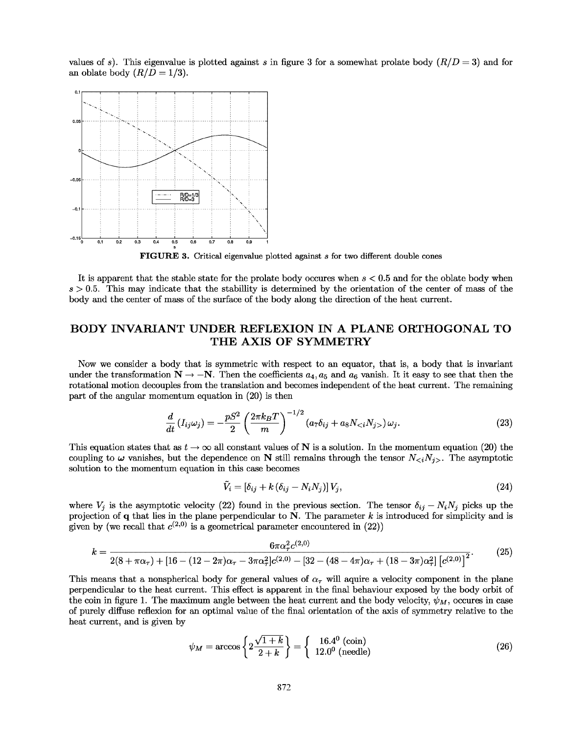values of s). This eigenvalue is plotted against s in figure 3 for a somewhat prolate body  $(R/D = 3)$  and for an oblate body  $(R/D = 1/3)$ . an oblate body  $(R/D = 1/3)$ .



**FIGURE 3.** Critical eigenvalue plotted against *s* for two different double cones FIGURE 3. Critical eigenvalue plotted against *s* for two different double cones

It is apparent that the stable state for the prolate body occures when  $s < 0.5$  and for the oblate body when  $s > 0.5$ . This may indicate that the stabillity is determined by the orientation of the center of mass of the body and the center of mass of the surface of the body along the direction of the heat current. body and the center of mass of the surface of the body along the direction of the heat current.

#### **BODY INVARIANT UNDER REFLEXION IN A PLANE ORTHOGONAL TO** BODY INVARIANT UNDER REFLEXION IN A PLANE ORTHOGONAL TO **THE AXIS OF SYMMETRY** THE AXIS OF SYMMETRY

Now we consider a body that is symmetric with respect to an equator, that is, a body that is invariant Now we consider a body that is symmetric with respect to an equator, that is, a body that is invariant under the transformation  $N \to -N$ . Then the coefficients  $a_4, a_5$  and  $a_6$  vanish. It it easy to see that then the rotational motion decouples from the translation and becomes independent of the heat current. The remaining<br>part of the angular momentum equation in (20) is then part of the angular momentum equation in (20) is then

$$
\frac{d}{dt}\left(I_{ij}\omega_j\right) = -\frac{pS^2}{2}\left(\frac{2\pi k_BT}{m}\right)^{-1/2}\left(a_7\delta_{ij} + a_8N_{}\right)\omega_j.
$$
\n(23)

This equation states that as  $t \to \infty$  all constant values of N is a solution. In the momentum equation (20) the coupling to  $\omega$  vanishes, but the dependence on N still remains through the tensor  $N_{\leq i}N_{j>}$ . The asymptotic solution to the momentum equation in this case becomes solution to the momentum equation in this case becomes

if this case becomes  
\n
$$
\tilde{V}_i = [\delta_{ij} + k(\delta_{ij} - N_i N_j)] V_j,
$$
\n(24)

where  $V_j$  is the asymptotic velocity (22) found in the previous section. The tensor  $\delta_{ij} - N_i N_j$  picks up the projection of  $q$  that lies in the plane perpendicular to  $N$ . The parameter k is introduced for simplicity and is given by (we recall that  $c^{(2,0)}$  is a geometrical parameter encountered in (22))

$$
k = \frac{6\pi\alpha_{\tau}^{2}c^{(2,0)}}{2(8+\pi\alpha_{\tau}) + [16 - (12-2\pi)\alpha_{\tau} - 3\pi\alpha_{\tau}^{2}]c^{(2,0)} - [32 - (48-4\pi)\alpha_{\tau} + (18-3\pi)\alpha_{\tau}^{2}] [c^{(2,0)}]^{2}}.
$$
(25)

This means that a nonspherical body for general values of  $\alpha_{\tau}$  will aquire a velocity component in the plane<br>perpendicular to the heat current. This effect is apparent in the final behaviour exposed by the body orbit perpendicular to the heat current. This effect is apparent in the final behaviour exposed by the body orbit of the coin in figure 1. The maximum angle between the heat current and the body velocity,  $\psi_M$ , occures in case of purely diffuse reflexion for an optimal value of the final orientation of the axis of symmetry relative to the heat current, and is given by  $\psi_M = \arccos$ 

$$
\psi_M = \arccos\left\{2\frac{\sqrt{1+k}}{2+k}\right\} = \left\{\begin{array}{c} 16.4^{\circ} \text{ (coin)}\\ 12.0^{\circ} \text{ (needle)} \end{array}\right. \tag{26}
$$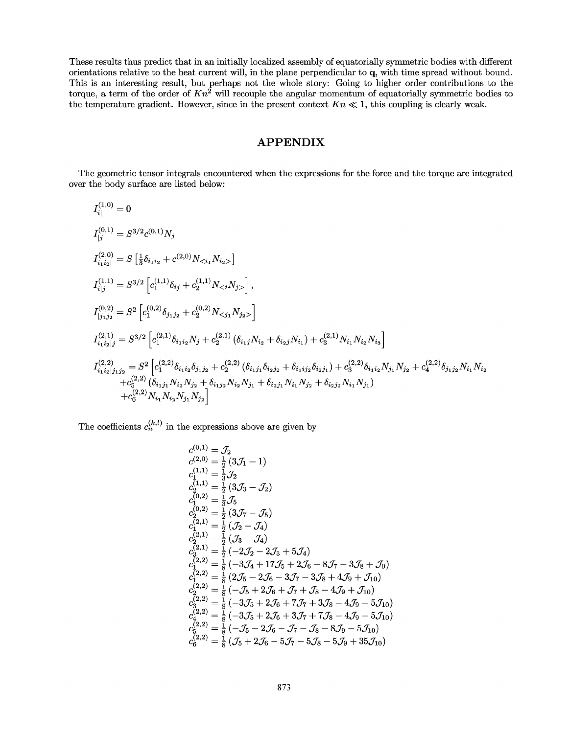These results thus predict that in an initially localized assembly of equatorially symmetric bodies with different orientations relative to the heat current will, in the plane perpendicular to q, with time spread without bound. This is an interesting result, but perhaps not the whole story: Going to higher order contributions to the torque, a term of the order of  $Kn^2$  will recouple the angular momentum of equatorially symmetric bodies to the temperature gradient. However, since in the present context  $Kn \ll 1$ , this coupling is clearly weak. orientations relative to the heat current will, in the plane perpendicular to **q**, with time spread without bound.<br>This is an interesting result, but perhaps not the whole story: Going to higher order contributions to the

### APPENDIX APPENDIX

The geometric tensor integrals encountered when the expressions for the force and the torque are integrated The geometric tensor integrals encountered when the expressions for the force and the torque are integrated over the body surface are listed below: over the body surface are listed below:

$$
\begin{split} &I_{[j]}^{(1,0)}=0\\ &I_{[j]}^{(0,1)}=S^{3/2}c^{(0,1)}N_{j}\\ &I_{i_1i_2]}^{(2,0)}=S\left[\tfrac{1}{3}\delta_{i_1i_2}+c^{(2,0)}N_{}\right]\\ &I_{i|j}^{(1,1)}=S^{3/2}\left[c_1^{(1,1)}\delta_{ij}+c_2^{(1,1)}N_{}\right],\\ &I_{[j_1j_2]}^{(0,2)}=S^2\left[c_1^{(0,2)}\delta_{j_1j_2}+c_2^{(0,2)}N_{}\right]\\ &I_{i_1i_2|j}^{(2,1)}=S^{3/2}\left[c_1^{(2,1)}\delta_{i_1i_2}N_j+c_2^{(2,1)}\left(\delta_{i_1j}N_{i_2}+\delta_{i_2j}N_{i_1}\right)+c_3^{(2,1)}N_{i_1}N_{i_2}N_{i_3}\right]\\ &I_{i_1i_2|j_1j_2}^{(2,2)}=S^2\left[c_1^{(2,2)}\delta_{i_1i_2}\delta_{j_1j_2}+c_2^{(2,2)}\left(\delta_{i_1j_1}\delta_{i_2j_2}+\delta_{i_1i_2j}\delta_{i_2j_1}\right)+c_3^{(2,2)}\delta_{i_1i_2}N_{j_1}N_{j_2}+c_4^{(2,2)}\delta_{j_1j_2}N_{i_1}N_{i_2}\\ &+c_5^{(2,2)}\left(\delta_{i_1j_1}N_{i_2}N_{j_2}+\delta_{i_1j_2}N_{i_2}N_{j_1}+\delta_{i_2j_1}N_{i_1}N_{j_2}+\delta_{i_2j_2}N_{i_1}N_{j_1}\right)\\ &+c_6^{(2,2)}N_{i_1}N_{i_2}N_{j_1}N_{j_2}\right] \end{split}
$$

The coefficients  $c_n^{(k,l)}$  in the expressions above are given by

$$
c_{0,1}^{(0,1)} = \mathcal{J}_2
$$
  
\n
$$
c_{1,1}^{(2,0)} = \frac{1}{2} (3\mathcal{J}_1 - 1)
$$
  
\n
$$
c_1^{(1,1)} = \frac{1}{3} \mathcal{J}_2
$$
  
\n
$$
c_2^{(1,1)} = \frac{1}{2} (3\mathcal{J}_3 - \mathcal{J}_2)
$$
  
\n
$$
c_1^{(0,2)} = \frac{1}{3} \mathcal{J}_5
$$
  
\n
$$
c_2^{(0,2)} = \frac{1}{2} (3\mathcal{J}_7 - \mathcal{J}_5)
$$
  
\n
$$
c_1^{(2,1)} = \frac{1}{2} (\mathcal{J}_2 - \mathcal{J}_4)
$$
  
\n
$$
c_2^{(2,1)} = \frac{1}{2} (-2\mathcal{J}_2 - 2\mathcal{J}_3 + 5\mathcal{J}_4)
$$
  
\n
$$
c_2^{(2,2)} = \frac{1}{8} (-3\mathcal{J}_4 + 17\mathcal{J}_5 + 2\mathcal{J}_6 - 8\mathcal{J}_7 - 3\mathcal{J}_8 + \mathcal{J}_9)
$$
  
\n
$$
c_1^{(2,2)} = \frac{1}{8} (2\mathcal{J}_5 - 2\mathcal{J}_6 - 3\mathcal{J}_7 - 3\mathcal{J}_8 + 4\mathcal{J}_9 + \mathcal{J}_{10})
$$
  
\n
$$
c_2^{(2,2)} = \frac{1}{8} (-\mathcal{J}_5 + 2\mathcal{J}_6 + \mathcal{J}_7 + \mathcal{J}_8 - 4\mathcal{J}_9 + \mathcal{J}_{10})
$$
  
\n
$$
c_3^{(2,2)} = \frac{1}{8} (-3\mathcal{J}_5 + 2\mathcal{J}_6 + 7\mathcal{J}_7 + 3\mathcal{J}_8 - 4\mathcal{J}_9 - 5\mathcal{J}_{10})
$$
  
\n
$$
c_3^{(2,2)} = \frac{1}{8} (-3\mathcal{J}_5 + 2\mathcal{J}_6 + 3\mathcal{J}_7 + 7\mathcal{J}_8 - 4\mathcal{J}_9 - 5
$$